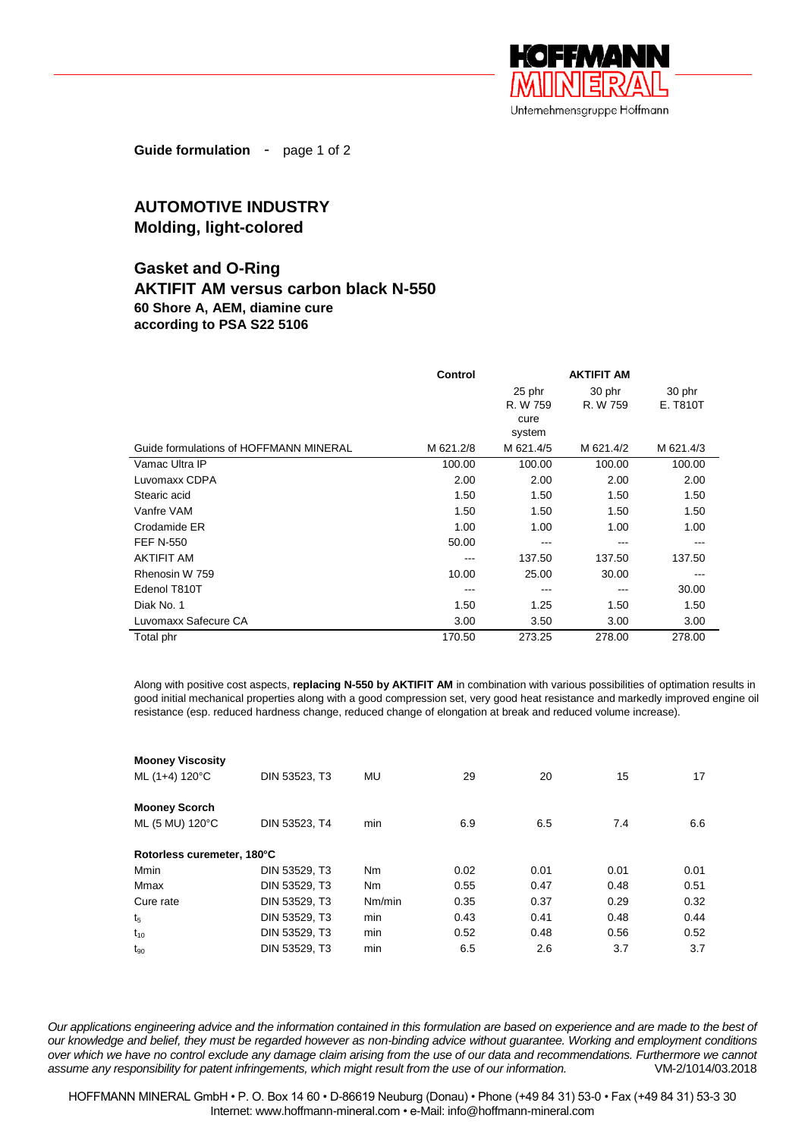

**Guide formulation** - page 1 of 2

# **AUTOMOTIVE INDUSTRY Molding, light-colored**

## **Gasket and O-Ring**

## **AKTIFIT AM versus carbon black N-550 60 Shore A, AEM, diamine cure according to PSA S22 5106**

|                                        | Control   |           | <b>AKTIFIT AM</b> |           |
|----------------------------------------|-----------|-----------|-------------------|-----------|
|                                        |           | 25 phr    | 30 phr            | 30 phr    |
|                                        |           | R. W 759  | R. W 759          | E. T810T  |
|                                        |           | cure      |                   |           |
|                                        |           | system    |                   |           |
| Guide formulations of HOFFMANN MINERAL | M 621.2/8 | M 621.4/5 | M 621.4/2         | M 621.4/3 |
| Vamac Ultra IP                         | 100.00    | 100.00    | 100.00            | 100.00    |
| Luvomaxx CDPA                          | 2.00      | 2.00      | 2.00              | 2.00      |
| Stearic acid                           | 1.50      | 1.50      | 1.50              | 1.50      |
| Vanfre VAM                             | 1.50      | 1.50      | 1.50              | 1.50      |
| Crodamide ER                           | 1.00      | 1.00      | 1.00              | 1.00      |
| <b>FEF N-550</b>                       | 50.00     | ---       | ---               | ---       |
| <b>AKTIFIT AM</b>                      | ---       | 137.50    | 137.50            | 137.50    |
| Rhenosin W 759                         | 10.00     | 25.00     | 30.00             |           |
| Edenol T810T                           | ---       | ---       |                   | 30.00     |
| Diak No. 1                             | 1.50      | 1.25      | 1.50              | 1.50      |
| Luvomaxx Safecure CA                   | 3.00      | 3.50      | 3.00              | 3.00      |
| Total phr                              | 170.50    | 273.25    | 278.00            | 278.00    |

Along with positive cost aspects, **replacing N-550 by AKTIFIT AM** in combination with various possibilities of optimation results in good initial mechanical properties along with a good compression set, very good heat resistance and markedly improved engine oil resistance (esp. reduced hardness change, reduced change of elongation at break and reduced volume increase).

| <b>Mooney Viscosity</b>    |               |                |      |      |      |      |
|----------------------------|---------------|----------------|------|------|------|------|
| ML (1+4) 120°C             | DIN 53523, T3 | MU             | 29   | 20   | 15   | 17   |
| <b>Mooney Scorch</b>       |               |                |      |      |      |      |
| ML (5 MU) 120°C            | DIN 53523, T4 | min            | 6.9  | 6.5  | 7.4  | 6.6  |
| Rotorless curemeter, 180°C |               |                |      |      |      |      |
| Mmin                       | DIN 53529, T3 | N <sub>m</sub> | 0.02 | 0.01 | 0.01 | 0.01 |
| Mmax                       | DIN 53529, T3 | N <sub>m</sub> | 0.55 | 0.47 | 0.48 | 0.51 |
| Cure rate                  | DIN 53529, T3 | Nm/min         | 0.35 | 0.37 | 0.29 | 0.32 |
| t <sub>5</sub>             | DIN 53529. T3 | min            | 0.43 | 0.41 | 0.48 | 0.44 |
| $t_{10}$                   | DIN 53529, T3 | min            | 0.52 | 0.48 | 0.56 | 0.52 |
| $t_{90}$                   | DIN 53529. T3 | min            | 6.5  | 2.6  | 3.7  | 3.7  |

*Our applications engineering advice and the information contained in this formulation are based on experience and are made to the best of our knowledge and belief, they must be regarded however as non-binding advice without guarantee. Working and employment conditions over which we have no control exclude any damage claim arising from the use of our data and recommendations. Furthermore we cannot assume any responsibility for patent infringements, which might result from the use of our information.* VM-2/1014/03.2018